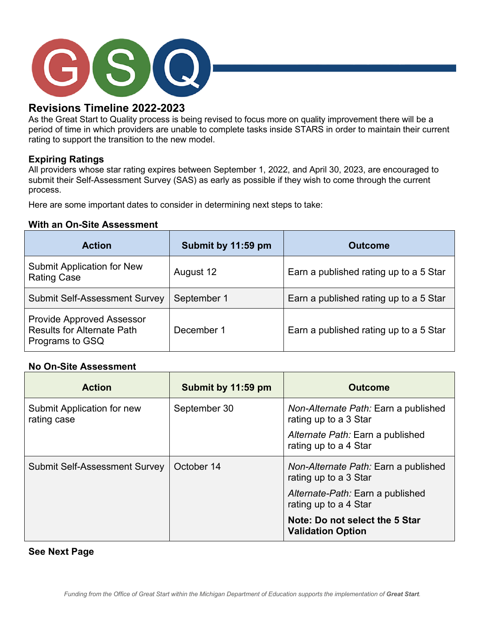

# **Revisions Timeline 2022-2023**

As the Great Start to Quality process is being revised to focus more on quality improvement there will be a period of time in which providers are unable to complete tasks inside STARS in order to maintain their current rating to support the transition to the new model.

## **Expiring Ratings**

All providers whose star rating expires between September 1, 2022, and April 30, 2023, are encouraged to submit their Self-Assessment Survey (SAS) as early as possible if they wish to come through the current process.

Here are some important dates to consider in determining next steps to take:

### **With an On-Site Assessment**

| <b>Action</b>                                                                            | Submit by 11:59 pm | <b>Outcome</b>                         |
|------------------------------------------------------------------------------------------|--------------------|----------------------------------------|
| <b>Submit Application for New</b><br><b>Rating Case</b>                                  | August 12          | Earn a published rating up to a 5 Star |
| <b>Submit Self-Assessment Survey</b>                                                     | September 1        | Earn a published rating up to a 5 Star |
| <b>Provide Approved Assessor</b><br><b>Results for Alternate Path</b><br>Programs to GSQ | December 1         | Earn a published rating up to a 5 Star |

#### **No On-Site Assessment**

| <b>Action</b>                             | Submit by 11:59 pm | <b>Outcome</b>                                                |
|-------------------------------------------|--------------------|---------------------------------------------------------------|
| Submit Application for new<br>rating case | September 30       | Non-Alternate Path: Earn a published<br>rating up to a 3 Star |
|                                           |                    | Alternate Path: Earn a published<br>rating up to a 4 Star     |
| <b>Submit Self-Assessment Survey</b>      | October 14         | Non-Alternate Path: Earn a published<br>rating up to a 3 Star |
|                                           |                    | Alternate-Path: Earn a published<br>rating up to a 4 Star     |
|                                           |                    | Note: Do not select the 5 Star<br><b>Validation Option</b>    |

**See Next Page**